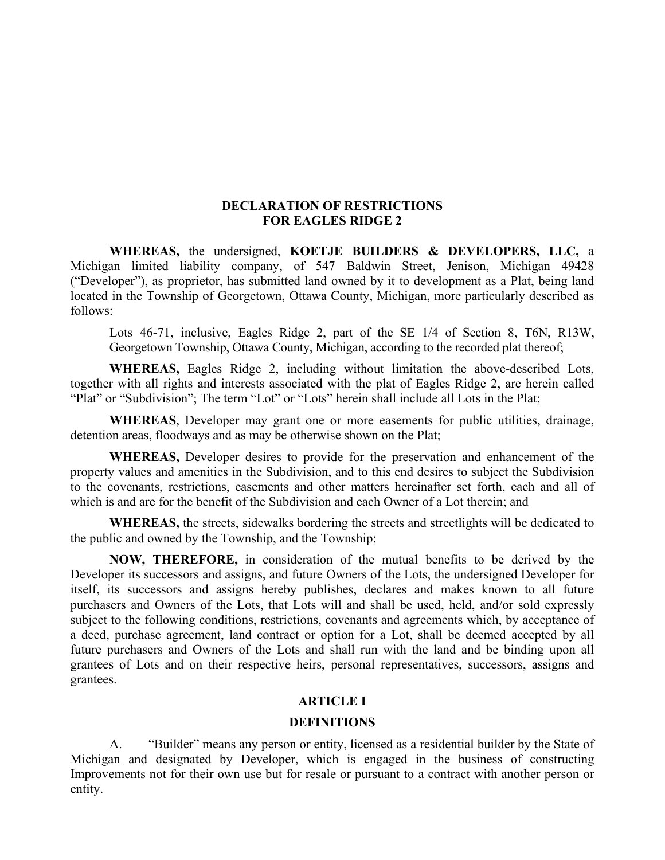### **DECLARATION OF RESTRICTIONS FOR EAGLES RIDGE 2**

**WHEREAS,** the undersigned, **KOETJE BUILDERS & DEVELOPERS, LLC,** a Michigan limited liability company, of 547 Baldwin Street, Jenison, Michigan 49428 ("Developer"), as proprietor, has submitted land owned by it to development as a Plat, being land located in the Township of Georgetown, Ottawa County, Michigan, more particularly described as follows:

Lots 46-71, inclusive, Eagles Ridge 2, part of the SE 1/4 of Section 8, T6N, R13W, Georgetown Township, Ottawa County, Michigan, according to the recorded plat thereof;

**WHEREAS,** Eagles Ridge 2, including without limitation the above-described Lots, together with all rights and interests associated with the plat of Eagles Ridge 2, are herein called "Plat" or "Subdivision"; The term "Lot" or "Lots" herein shall include all Lots in the Plat;

**WHEREAS**, Developer may grant one or more easements for public utilities, drainage, detention areas, floodways and as may be otherwise shown on the Plat;

**WHEREAS,** Developer desires to provide for the preservation and enhancement of the property values and amenities in the Subdivision, and to this end desires to subject the Subdivision to the covenants, restrictions, easements and other matters hereinafter set forth, each and all of which is and are for the benefit of the Subdivision and each Owner of a Lot therein; and

**WHEREAS,** the streets, sidewalks bordering the streets and streetlights will be dedicated to the public and owned by the Township, and the Township;

**NOW, THEREFORE,** in consideration of the mutual benefits to be derived by the Developer its successors and assigns, and future Owners of the Lots, the undersigned Developer for itself, its successors and assigns hereby publishes, declares and makes known to all future purchasers and Owners of the Lots, that Lots will and shall be used, held, and/or sold expressly subject to the following conditions, restrictions, covenants and agreements which, by acceptance of a deed, purchase agreement, land contract or option for a Lot, shall be deemed accepted by all future purchasers and Owners of the Lots and shall run with the land and be binding upon all grantees of Lots and on their respective heirs, personal representatives, successors, assigns and grantees.

## **ARTICLE I**

### **DEFINITIONS**

A. "Builder" means any person or entity, licensed as a residential builder by the State of Michigan and designated by Developer, which is engaged in the business of constructing Improvements not for their own use but for resale or pursuant to a contract with another person or entity.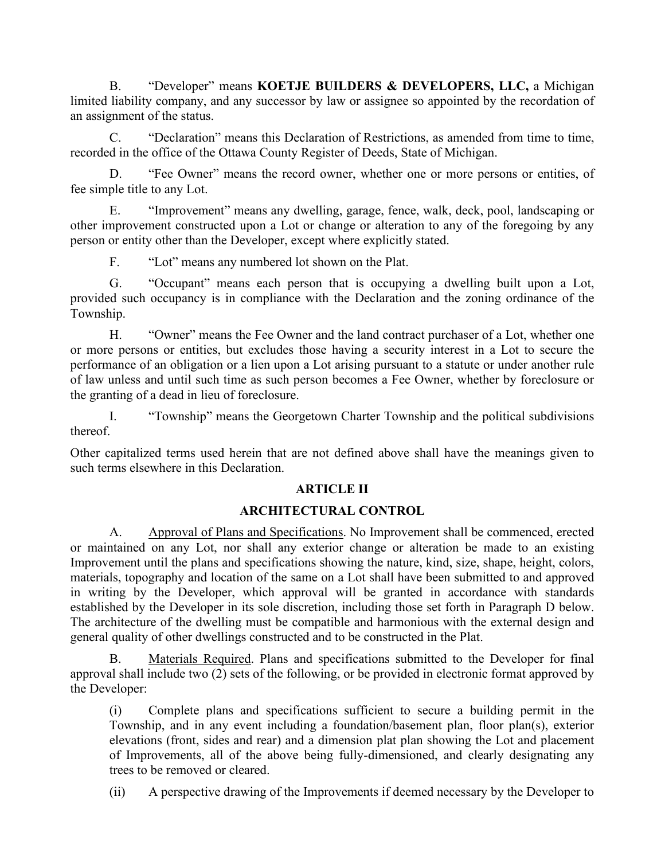B. "Developer" means **KOETJE BUILDERS & DEVELOPERS, LLC,** a Michigan limited liability company, and any successor by law or assignee so appointed by the recordation of an assignment of the status.

C. "Declaration" means this Declaration of Restrictions, as amended from time to time, recorded in the office of the Ottawa County Register of Deeds, State of Michigan.

D. "Fee Owner" means the record owner, whether one or more persons or entities, of fee simple title to any Lot.

E. "Improvement" means any dwelling, garage, fence, walk, deck, pool, landscaping or other improvement constructed upon a Lot or change or alteration to any of the foregoing by any person or entity other than the Developer, except where explicitly stated.

F. "Lot" means any numbered lot shown on the Plat.

G. "Occupant" means each person that is occupying a dwelling built upon a Lot, provided such occupancy is in compliance with the Declaration and the zoning ordinance of the Township.

H. "Owner" means the Fee Owner and the land contract purchaser of a Lot, whether one or more persons or entities, but excludes those having a security interest in a Lot to secure the performance of an obligation or a lien upon a Lot arising pursuant to a statute or under another rule of law unless and until such time as such person becomes a Fee Owner, whether by foreclosure or the granting of a dead in lieu of foreclosure.

I. "Township" means the Georgetown Charter Township and the political subdivisions thereof.

Other capitalized terms used herein that are not defined above shall have the meanings given to such terms elsewhere in this Declaration.

# **ARTICLE II**

# **ARCHITECTURAL CONTROL**

A. Approval of Plans and Specifications. No Improvement shall be commenced, erected or maintained on any Lot, nor shall any exterior change or alteration be made to an existing Improvement until the plans and specifications showing the nature, kind, size, shape, height, colors, materials, topography and location of the same on a Lot shall have been submitted to and approved in writing by the Developer, which approval will be granted in accordance with standards established by the Developer in its sole discretion, including those set forth in Paragraph D below. The architecture of the dwelling must be compatible and harmonious with the external design and general quality of other dwellings constructed and to be constructed in the Plat.

B. Materials Required. Plans and specifications submitted to the Developer for final approval shall include two (2) sets of the following, or be provided in electronic format approved by the Developer:

(i) Complete plans and specifications sufficient to secure a building permit in the Township, and in any event including a foundation/basement plan, floor plan(s), exterior elevations (front, sides and rear) and a dimension plat plan showing the Lot and placement of Improvements, all of the above being fully-dimensioned, and clearly designating any trees to be removed or cleared.

(ii) A perspective drawing of the Improvements if deemed necessary by the Developer to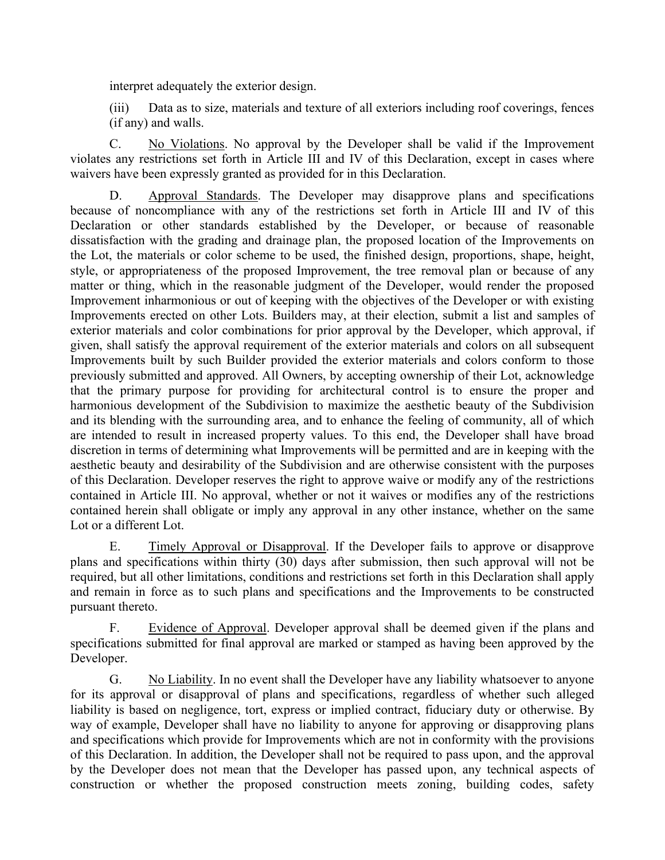interpret adequately the exterior design.

(iii) Data as to size, materials and texture of all exteriors including roof coverings, fences (if any) and walls.

C. No Violations. No approval by the Developer shall be valid if the Improvement violates any restrictions set forth in Article III and IV of this Declaration, except in cases where waivers have been expressly granted as provided for in this Declaration.

D. Approval Standards. The Developer may disapprove plans and specifications because of noncompliance with any of the restrictions set forth in Article III and IV of this Declaration or other standards established by the Developer, or because of reasonable dissatisfaction with the grading and drainage plan, the proposed location of the Improvements on the Lot, the materials or color scheme to be used, the finished design, proportions, shape, height, style, or appropriateness of the proposed Improvement, the tree removal plan or because of any matter or thing, which in the reasonable judgment of the Developer, would render the proposed Improvement inharmonious or out of keeping with the objectives of the Developer or with existing Improvements erected on other Lots. Builders may, at their election, submit a list and samples of exterior materials and color combinations for prior approval by the Developer, which approval, if given, shall satisfy the approval requirement of the exterior materials and colors on all subsequent Improvements built by such Builder provided the exterior materials and colors conform to those previously submitted and approved. All Owners, by accepting ownership of their Lot, acknowledge that the primary purpose for providing for architectural control is to ensure the proper and harmonious development of the Subdivision to maximize the aesthetic beauty of the Subdivision and its blending with the surrounding area, and to enhance the feeling of community, all of which are intended to result in increased property values. To this end, the Developer shall have broad discretion in terms of determining what Improvements will be permitted and are in keeping with the aesthetic beauty and desirability of the Subdivision and are otherwise consistent with the purposes of this Declaration. Developer reserves the right to approve waive or modify any of the restrictions contained in Article III. No approval, whether or not it waives or modifies any of the restrictions contained herein shall obligate or imply any approval in any other instance, whether on the same Lot or a different Lot.

E. Timely Approval or Disapproval. If the Developer fails to approve or disapprove plans and specifications within thirty (30) days after submission, then such approval will not be required, but all other limitations, conditions and restrictions set forth in this Declaration shall apply and remain in force as to such plans and specifications and the Improvements to be constructed pursuant thereto.

F. Evidence of Approval. Developer approval shall be deemed given if the plans and specifications submitted for final approval are marked or stamped as having been approved by the Developer.

G. No Liability. In no event shall the Developer have any liability whatsoever to anyone for its approval or disapproval of plans and specifications, regardless of whether such alleged liability is based on negligence, tort, express or implied contract, fiduciary duty or otherwise. By way of example, Developer shall have no liability to anyone for approving or disapproving plans and specifications which provide for Improvements which are not in conformity with the provisions of this Declaration. In addition, the Developer shall not be required to pass upon, and the approval by the Developer does not mean that the Developer has passed upon, any technical aspects of construction or whether the proposed construction meets zoning, building codes, safety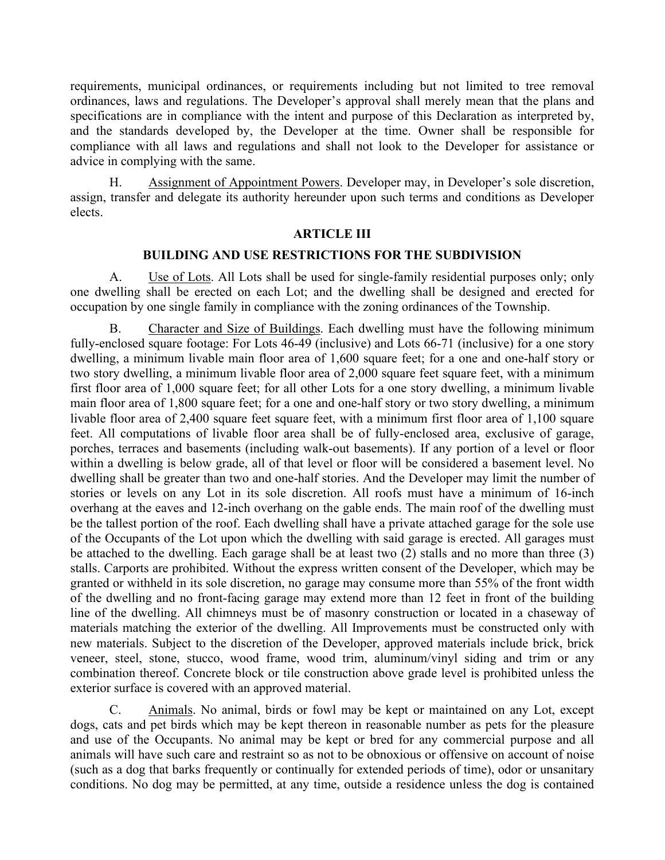requirements, municipal ordinances, or requirements including but not limited to tree removal ordinances, laws and regulations. The Developer's approval shall merely mean that the plans and specifications are in compliance with the intent and purpose of this Declaration as interpreted by, and the standards developed by, the Developer at the time. Owner shall be responsible for compliance with all laws and regulations and shall not look to the Developer for assistance or advice in complying with the same.

H. Assignment of Appointment Powers. Developer may, in Developer's sole discretion, assign, transfer and delegate its authority hereunder upon such terms and conditions as Developer elects.

#### **ARTICLE III**

#### **BUILDING AND USE RESTRICTIONS FOR THE SUBDIVISION**

A. Use of Lots. All Lots shall be used for single-family residential purposes only; only one dwelling shall be erected on each Lot; and the dwelling shall be designed and erected for occupation by one single family in compliance with the zoning ordinances of the Township.

B. Character and Size of Buildings. Each dwelling must have the following minimum fully-enclosed square footage: For Lots 46-49 (inclusive) and Lots 66-71 (inclusive) for a one story dwelling, a minimum livable main floor area of 1,600 square feet; for a one and one-half story or two story dwelling, a minimum livable floor area of 2,000 square feet square feet, with a minimum first floor area of 1,000 square feet; for all other Lots for a one story dwelling, a minimum livable main floor area of 1,800 square feet; for a one and one-half story or two story dwelling, a minimum livable floor area of 2,400 square feet square feet, with a minimum first floor area of 1,100 square feet. All computations of livable floor area shall be of fully-enclosed area, exclusive of garage, porches, terraces and basements (including walk-out basements). If any portion of a level or floor within a dwelling is below grade, all of that level or floor will be considered a basement level. No dwelling shall be greater than two and one-half stories. And the Developer may limit the number of stories or levels on any Lot in its sole discretion. All roofs must have a minimum of 16-inch overhang at the eaves and 12-inch overhang on the gable ends. The main roof of the dwelling must be the tallest portion of the roof. Each dwelling shall have a private attached garage for the sole use of the Occupants of the Lot upon which the dwelling with said garage is erected. All garages must be attached to the dwelling. Each garage shall be at least two (2) stalls and no more than three (3) stalls. Carports are prohibited. Without the express written consent of the Developer, which may be granted or withheld in its sole discretion, no garage may consume more than 55% of the front width of the dwelling and no front-facing garage may extend more than 12 feet in front of the building line of the dwelling. All chimneys must be of masonry construction or located in a chaseway of materials matching the exterior of the dwelling. All Improvements must be constructed only with new materials. Subject to the discretion of the Developer, approved materials include brick, brick veneer, steel, stone, stucco, wood frame, wood trim, aluminum/vinyl siding and trim or any combination thereof. Concrete block or tile construction above grade level is prohibited unless the exterior surface is covered with an approved material.

C. Animals. No animal, birds or fowl may be kept or maintained on any Lot, except dogs, cats and pet birds which may be kept thereon in reasonable number as pets for the pleasure and use of the Occupants. No animal may be kept or bred for any commercial purpose and all animals will have such care and restraint so as not to be obnoxious or offensive on account of noise (such as a dog that barks frequently or continually for extended periods of time), odor or unsanitary conditions. No dog may be permitted, at any time, outside a residence unless the dog is contained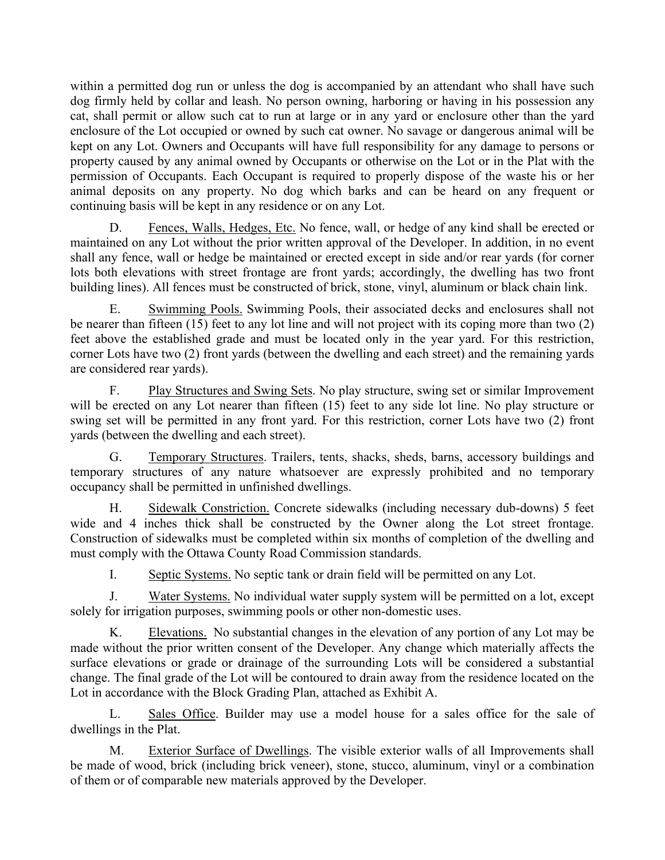within a permitted dog run or unless the dog is accompanied by an attendant who shall have such dog firmly held by collar and leash. No person owning, harboring or having in his possession any cat, shall permit or allow such cat to run at large or in any yard or enclosure other than the yard enclosure of the Lot occupied or owned by such cat owner. No savage or dangerous animal will be kept on any Lot. Owners and Occupants will have full responsibility for any damage to persons or property caused by any animal owned by Occupants or otherwise on the Lot or in the Plat with the permission of Occupants. Each Occupant is required to properly dispose of the waste his or her animal deposits on any property. No dog which barks and can be heard on any frequent or continuing basis will be kept in any residence or on any Lot.

D. Fences, Walls, Hedges, Etc. No fence, wall, or hedge of any kind shall be erected or maintained on any Lot without the prior written approval of the Developer. In addition, in no event shall any fence, wall or hedge be maintained or erected except in side and/or rear yards (for corner lots both elevations with street frontage are front yards; accordingly, the dwelling has two front building lines). All fences must be constructed of brick, stone, vinyl, aluminum or black chain link.

E. Swimming Pools. Swimming Pools, their associated decks and enclosures shall not be nearer than fifteen (15) feet to any lot line and will not project with its coping more than two (2) feet above the established grade and must be located only in the year yard. For this restriction, corner Lots have two (2) front yards (between the dwelling and each street) and the remaining yards are considered rear yards).

F. Play Structures and Swing Sets. No play structure, swing set or similar Improvement will be erected on any Lot nearer than fifteen (15) feet to any side lot line. No play structure or swing set will be permitted in any front yard. For this restriction, corner Lots have two (2) front yards (between the dwelling and each street).

G. Temporary Structures. Trailers, tents, shacks, sheds, barns, accessory buildings and temporary structures of any nature whatsoever are expressly prohibited and no temporary occupancy shall be permitted in unfinished dwellings.

H. Sidewalk Constriction. Concrete sidewalks (including necessary dub-downs) 5 feet wide and 4 inches thick shall be constructed by the Owner along the Lot street frontage. Construction of sidewalks must be completed within six months of completion of the dwelling and must comply with the Ottawa County Road Commission standards.

I. Septic Systems. No septic tank or drain field will be permitted on any Lot.

J. Water Systems. No individual water supply system will be permitted on a lot, except solely for irrigation purposes, swimming pools or other non-domestic uses.

K. Elevations. No substantial changes in the elevation of any portion of any Lot may be made without the prior written consent of the Developer. Any change which materially affects the surface elevations or grade or drainage of the surrounding Lots will be considered a substantial change. The final grade of the Lot will be contoured to drain away from the residence located on the Lot in accordance with the Block Grading Plan, attached as Exhibit A.

L. Sales Office. Builder may use a model house for a sales office for the sale of dwellings in the Plat.

M. Exterior Surface of Dwellings. The visible exterior walls of all Improvements shall be made of wood, brick (including brick veneer), stone, stucco, aluminum, vinyl or a combination of them or of comparable new materials approved by the Developer.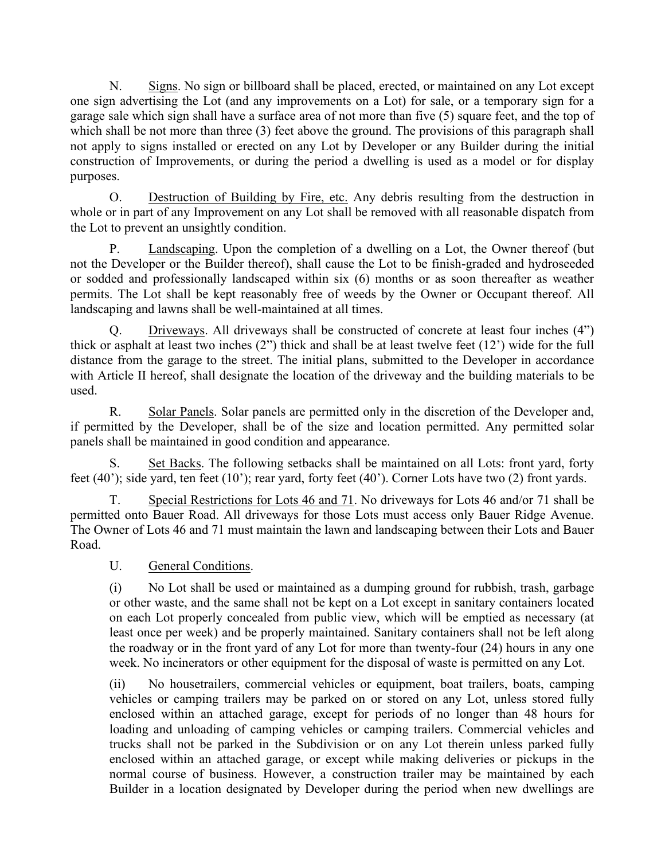N. Signs. No sign or billboard shall be placed, erected, or maintained on any Lot except one sign advertising the Lot (and any improvements on a Lot) for sale, or a temporary sign for a garage sale which sign shall have a surface area of not more than five (5) square feet, and the top of which shall be not more than three (3) feet above the ground. The provisions of this paragraph shall not apply to signs installed or erected on any Lot by Developer or any Builder during the initial construction of Improvements, or during the period a dwelling is used as a model or for display purposes.

O. Destruction of Building by Fire, etc. Any debris resulting from the destruction in whole or in part of any Improvement on any Lot shall be removed with all reasonable dispatch from the Lot to prevent an unsightly condition.

P. Landscaping. Upon the completion of a dwelling on a Lot, the Owner thereof (but not the Developer or the Builder thereof), shall cause the Lot to be finish-graded and hydroseeded or sodded and professionally landscaped within six (6) months or as soon thereafter as weather permits. The Lot shall be kept reasonably free of weeds by the Owner or Occupant thereof. All landscaping and lawns shall be well-maintained at all times.

Q. Driveways. All driveways shall be constructed of concrete at least four inches (4") thick or asphalt at least two inches (2") thick and shall be at least twelve feet (12') wide for the full distance from the garage to the street. The initial plans, submitted to the Developer in accordance with Article II hereof, shall designate the location of the driveway and the building materials to be used.

R. Solar Panels. Solar panels are permitted only in the discretion of the Developer and, if permitted by the Developer, shall be of the size and location permitted. Any permitted solar panels shall be maintained in good condition and appearance.

S. Set Backs. The following setbacks shall be maintained on all Lots: front yard, forty feet (40'); side yard, ten feet (10'); rear yard, forty feet (40'). Corner Lots have two (2) front yards.

T. Special Restrictions for Lots 46 and 71. No driveways for Lots 46 and/or 71 shall be permitted onto Bauer Road. All driveways for those Lots must access only Bauer Ridge Avenue. The Owner of Lots 46 and 71 must maintain the lawn and landscaping between their Lots and Bauer Road.

U. General Conditions.

(i) No Lot shall be used or maintained as a dumping ground for rubbish, trash, garbage or other waste, and the same shall not be kept on a Lot except in sanitary containers located on each Lot properly concealed from public view, which will be emptied as necessary (at least once per week) and be properly maintained. Sanitary containers shall not be left along the roadway or in the front yard of any Lot for more than twenty-four (24) hours in any one week. No incinerators or other equipment for the disposal of waste is permitted on any Lot.

(ii) No housetrailers, commercial vehicles or equipment, boat trailers, boats, camping vehicles or camping trailers may be parked on or stored on any Lot, unless stored fully enclosed within an attached garage, except for periods of no longer than 48 hours for loading and unloading of camping vehicles or camping trailers. Commercial vehicles and trucks shall not be parked in the Subdivision or on any Lot therein unless parked fully enclosed within an attached garage, or except while making deliveries or pickups in the normal course of business. However, a construction trailer may be maintained by each Builder in a location designated by Developer during the period when new dwellings are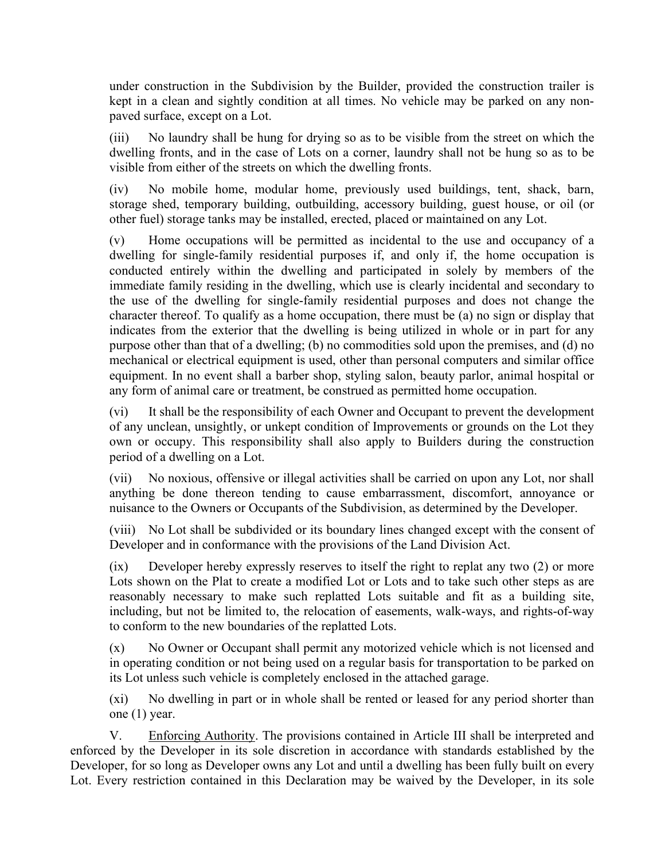under construction in the Subdivision by the Builder, provided the construction trailer is kept in a clean and sightly condition at all times. No vehicle may be parked on any nonpaved surface, except on a Lot.

(iii) No laundry shall be hung for drying so as to be visible from the street on which the dwelling fronts, and in the case of Lots on a corner, laundry shall not be hung so as to be visible from either of the streets on which the dwelling fronts.

(iv) No mobile home, modular home, previously used buildings, tent, shack, barn, storage shed, temporary building, outbuilding, accessory building, guest house, or oil (or other fuel) storage tanks may be installed, erected, placed or maintained on any Lot.

(v) Home occupations will be permitted as incidental to the use and occupancy of a dwelling for single-family residential purposes if, and only if, the home occupation is conducted entirely within the dwelling and participated in solely by members of the immediate family residing in the dwelling, which use is clearly incidental and secondary to the use of the dwelling for single-family residential purposes and does not change the character thereof. To qualify as a home occupation, there must be (a) no sign or display that indicates from the exterior that the dwelling is being utilized in whole or in part for any purpose other than that of a dwelling; (b) no commodities sold upon the premises, and (d) no mechanical or electrical equipment is used, other than personal computers and similar office equipment. In no event shall a barber shop, styling salon, beauty parlor, animal hospital or any form of animal care or treatment, be construed as permitted home occupation.

(vi) It shall be the responsibility of each Owner and Occupant to prevent the development of any unclean, unsightly, or unkept condition of Improvements or grounds on the Lot they own or occupy. This responsibility shall also apply to Builders during the construction period of a dwelling on a Lot.

(vii) No noxious, offensive or illegal activities shall be carried on upon any Lot, nor shall anything be done thereon tending to cause embarrassment, discomfort, annoyance or nuisance to the Owners or Occupants of the Subdivision, as determined by the Developer.

(viii) No Lot shall be subdivided or its boundary lines changed except with the consent of Developer and in conformance with the provisions of the Land Division Act.

(ix) Developer hereby expressly reserves to itself the right to replat any two (2) or more Lots shown on the Plat to create a modified Lot or Lots and to take such other steps as are reasonably necessary to make such replatted Lots suitable and fit as a building site, including, but not be limited to, the relocation of easements, walk-ways, and rights-of-way to conform to the new boundaries of the replatted Lots.

(x) No Owner or Occupant shall permit any motorized vehicle which is not licensed and in operating condition or not being used on a regular basis for transportation to be parked on its Lot unless such vehicle is completely enclosed in the attached garage.

(xi) No dwelling in part or in whole shall be rented or leased for any period shorter than one (1) year.

V. Enforcing Authority. The provisions contained in Article III shall be interpreted and enforced by the Developer in its sole discretion in accordance with standards established by the Developer, for so long as Developer owns any Lot and until a dwelling has been fully built on every Lot. Every restriction contained in this Declaration may be waived by the Developer, in its sole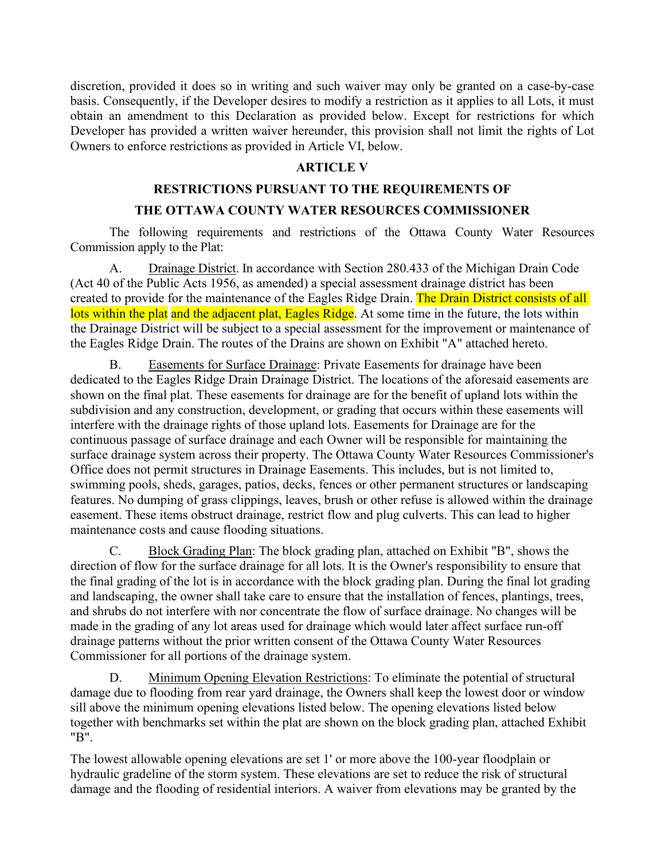discretion, provided it does so in writing and such waiver may only be granted on a case-by-case basis. Consequently, if the Developer desires to modify a restriction as it applies to all Lots, it must obtain an amendment to this Declaration as provided below. Except for restrictions for which Developer has provided a written waiver hereunder, this provision shall not limit the rights of Lot Owners to enforce restrictions as provided in Article VI, below.

# **ARTICLE V**

# **RESTRICTIONS PURSUANT TO THE REQUIREMENTS OF**

## **THE OTTAWA COUNTY WATER RESOURCES COMMISSIONER**

The following requirements and restrictions of the Ottawa County Water Resources Commission apply to the Plat:

A. Drainage District. In accordance with Section 280.433 of the Michigan Drain Code (Act 40 of the Public Acts 1956, as amended) a special assessment drainage district has been created to provide for the maintenance of the Eagles Ridge Drain. The Drain District consists of all lots within the plat and the adjacent plat, Eagles Ridge. At some time in the future, the lots within the Drainage District will be subject to a special assessment for the improvement or maintenance of the Eagles Ridge Drain. The routes of the Drains are shown on Exhibit "A" attached hereto.

B. Easements for Surface Drainage: Private Easements for drainage have been dedicated to the Eagles Ridge Drain Drainage District. The locations of the aforesaid easements are shown on the final plat. These easements for drainage are for the benefit of upland lots within the subdivision and any construction, development, or grading that occurs within these easements will interfere with the drainage rights of those upland lots. Easements for Drainage are for the continuous passage of surface drainage and each Owner will be responsible for maintaining the surface drainage system across their property. The Ottawa County Water Resources Commissioner's Office does not permit structures in Drainage Easements. This includes, but is not limited to, swimming pools, sheds, garages, patios, decks, fences or other permanent structures or landscaping features. No dumping of grass clippings, leaves, brush or other refuse is allowed within the drainage easement. These items obstruct drainage, restrict flow and plug culverts. This can lead to higher maintenance costs and cause flooding situations.

C. Block Grading Plan: The block grading plan, attached on Exhibit "B", shows the direction of flow for the surface drainage for all lots. It is the Owner's responsibility to ensure that the final grading of the lot is in accordance with the block grading plan. During the final lot grading and landscaping, the owner shall take care to ensure that the installation of fences, plantings, trees, and shrubs do not interfere with nor concentrate the flow of surface drainage. No changes will be made in the grading of any lot areas used for drainage which would later affect surface run-off drainage patterns without the prior written consent of the Ottawa County Water Resources Commissioner for all portions of the drainage system.

D. Minimum Opening Elevation Restrictions: To eliminate the potential of structural damage due to flooding from rear yard drainage, the Owners shall keep the lowest door or window sill above the minimum opening elevations listed below. The opening elevations listed below together with benchmarks set within the plat are shown on the block grading plan, attached Exhibit "B".

The lowest allowable opening elevations are set 1' or more above the 100-year floodplain or hydraulic gradeline of the storm system. These elevations are set to reduce the risk of structural damage and the flooding of residential interiors. A waiver from elevations may be granted by the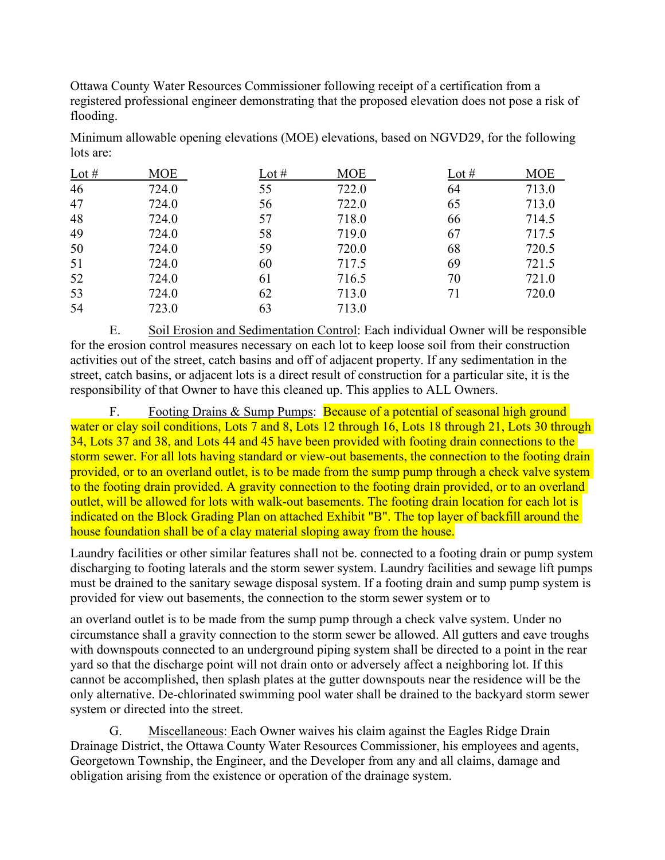Ottawa County Water Resources Commissioner following receipt of a certification from a registered professional engineer demonstrating that the proposed elevation does not pose a risk of flooding.

Minimum allowable opening elevations (MOE) elevations, based on NGVD29, for the following lots are:

| Lot $#$ | <b>MOE</b> | Lot $#$ | <b>MOE</b> | Lot $#$ | <b>MOE</b> |
|---------|------------|---------|------------|---------|------------|
| 46      | 724.0      | 55      | 722.0      | 64      | 713.0      |
| 47      | 724.0      | 56      | 722.0      | 65      | 713.0      |
| 48      | 724.0      | 57      | 718.0      | 66      | 714.5      |
| 49      | 724.0      | 58      | 719.0      | 67      | 717.5      |
| 50      | 724.0      | 59      | 720.0      | 68      | 720.5      |
| 51      | 724.0      | 60      | 717.5      | 69      | 721.5      |
| 52      | 724.0      | 61      | 716.5      | 70      | 721.0      |
| 53      | 724.0      | 62      | 713.0      | 71      | 720.0      |
| 54      | 723.0      | 63      | 713.0      |         |            |

E. Soil Erosion and Sedimentation Control: Each individual Owner will be responsible for the erosion control measures necessary on each lot to keep loose soil from their construction activities out of the street, catch basins and off of adjacent property. If any sedimentation in the street, catch basins, or adjacent lots is a direct result of construction for a particular site, it is the responsibility of that Owner to have this cleaned up. This applies to ALL Owners.

F. Footing Drains & Sump Pumps: Because of a potential of seasonal high ground water or clay soil conditions, Lots 7 and 8, Lots 12 through 16, Lots 18 through 21, Lots 30 through 34, Lots 37 and 38, and Lots 44 and 45 have been provided with footing drain connections to the storm sewer. For all lots having standard or view-out basements, the connection to the footing drain provided, or to an overland outlet, is to be made from the sump pump through a check valve system to the footing drain provided. A gravity connection to the footing drain provided, or to an overland outlet, will be allowed for lots with walk-out basements. The footing drain location for each lot is indicated on the Block Grading Plan on attached Exhibit "B". The top layer of backfill around the house foundation shall be of a clay material sloping away from the house.

Laundry facilities or other similar features shall not be. connected to a footing drain or pump system discharging to footing laterals and the storm sewer system. Laundry facilities and sewage lift pumps must be drained to the sanitary sewage disposal system. If a footing drain and sump pump system is provided for view out basements, the connection to the storm sewer system or to

an overland outlet is to be made from the sump pump through a check valve system. Under no circumstance shall a gravity connection to the storm sewer be allowed. All gutters and eave troughs with downspouts connected to an underground piping system shall be directed to a point in the rear yard so that the discharge point will not drain onto or adversely affect a neighboring lot. If this cannot be accomplished, then splash plates at the gutter downspouts near the residence will be the only alternative. De-chlorinated swimming pool water shall be drained to the backyard storm sewer system or directed into the street.

G. Miscellaneous: Each Owner waives his claim against the Eagles Ridge Drain Drainage District, the Ottawa County Water Resources Commissioner, his employees and agents, Georgetown Township, the Engineer, and the Developer from any and all claims, damage and obligation arising from the existence or operation of the drainage system.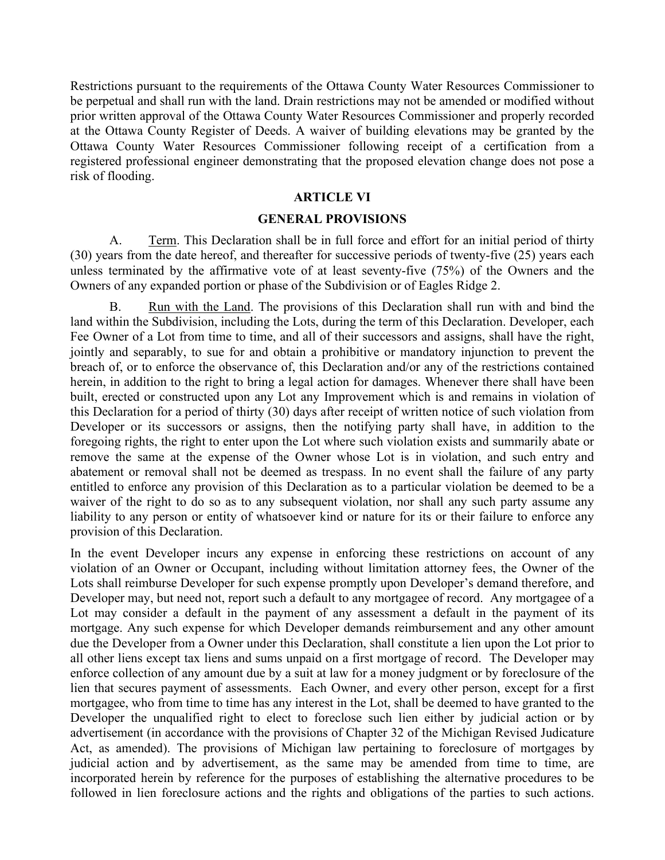Restrictions pursuant to the requirements of the Ottawa County Water Resources Commissioner to be perpetual and shall run with the land. Drain restrictions may not be amended or modified without prior written approval of the Ottawa County Water Resources Commissioner and properly recorded at the Ottawa County Register of Deeds. A waiver of building elevations may be granted by the Ottawa County Water Resources Commissioner following receipt of a certification from a registered professional engineer demonstrating that the proposed elevation change does not pose a risk of flooding.

## **ARTICLE VI**

#### **GENERAL PROVISIONS**

A. Term. This Declaration shall be in full force and effort for an initial period of thirty (30) years from the date hereof, and thereafter for successive periods of twenty-five (25) years each unless terminated by the affirmative vote of at least seventy-five (75%) of the Owners and the Owners of any expanded portion or phase of the Subdivision or of Eagles Ridge 2.

B. Run with the Land. The provisions of this Declaration shall run with and bind the land within the Subdivision, including the Lots, during the term of this Declaration. Developer, each Fee Owner of a Lot from time to time, and all of their successors and assigns, shall have the right, jointly and separably, to sue for and obtain a prohibitive or mandatory injunction to prevent the breach of, or to enforce the observance of, this Declaration and/or any of the restrictions contained herein, in addition to the right to bring a legal action for damages. Whenever there shall have been built, erected or constructed upon any Lot any Improvement which is and remains in violation of this Declaration for a period of thirty (30) days after receipt of written notice of such violation from Developer or its successors or assigns, then the notifying party shall have, in addition to the foregoing rights, the right to enter upon the Lot where such violation exists and summarily abate or remove the same at the expense of the Owner whose Lot is in violation, and such entry and abatement or removal shall not be deemed as trespass. In no event shall the failure of any party entitled to enforce any provision of this Declaration as to a particular violation be deemed to be a waiver of the right to do so as to any subsequent violation, nor shall any such party assume any liability to any person or entity of whatsoever kind or nature for its or their failure to enforce any provision of this Declaration.

In the event Developer incurs any expense in enforcing these restrictions on account of any violation of an Owner or Occupant, including without limitation attorney fees, the Owner of the Lots shall reimburse Developer for such expense promptly upon Developer's demand therefore, and Developer may, but need not, report such a default to any mortgagee of record. Any mortgagee of a Lot may consider a default in the payment of any assessment a default in the payment of its mortgage. Any such expense for which Developer demands reimbursement and any other amount due the Developer from a Owner under this Declaration, shall constitute a lien upon the Lot prior to all other liens except tax liens and sums unpaid on a first mortgage of record. The Developer may enforce collection of any amount due by a suit at law for a money judgment or by foreclosure of the lien that secures payment of assessments. Each Owner, and every other person, except for a first mortgagee, who from time to time has any interest in the Lot, shall be deemed to have granted to the Developer the unqualified right to elect to foreclose such lien either by judicial action or by advertisement (in accordance with the provisions of Chapter 32 of the Michigan Revised Judicature Act, as amended). The provisions of Michigan law pertaining to foreclosure of mortgages by judicial action and by advertisement, as the same may be amended from time to time, are incorporated herein by reference for the purposes of establishing the alternative procedures to be followed in lien foreclosure actions and the rights and obligations of the parties to such actions.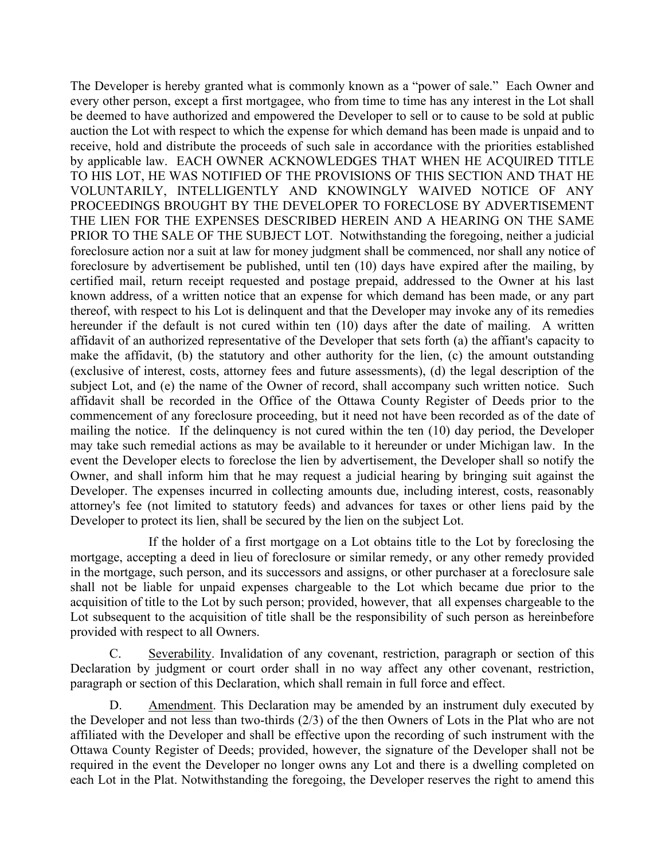The Developer is hereby granted what is commonly known as a "power of sale." Each Owner and every other person, except a first mortgagee, who from time to time has any interest in the Lot shall be deemed to have authorized and empowered the Developer to sell or to cause to be sold at public auction the Lot with respect to which the expense for which demand has been made is unpaid and to receive, hold and distribute the proceeds of such sale in accordance with the priorities established by applicable law. EACH OWNER ACKNOWLEDGES THAT WHEN HE ACQUIRED TITLE TO HIS LOT, HE WAS NOTIFIED OF THE PROVISIONS OF THIS SECTION AND THAT HE VOLUNTARILY, INTELLIGENTLY AND KNOWINGLY WAIVED NOTICE OF ANY PROCEEDINGS BROUGHT BY THE DEVELOPER TO FORECLOSE BY ADVERTISEMENT THE LIEN FOR THE EXPENSES DESCRIBED HEREIN AND A HEARING ON THE SAME PRIOR TO THE SALE OF THE SUBJECT LOT. Notwithstanding the foregoing, neither a judicial foreclosure action nor a suit at law for money judgment shall be commenced, nor shall any notice of foreclosure by advertisement be published, until ten (10) days have expired after the mailing, by certified mail, return receipt requested and postage prepaid, addressed to the Owner at his last known address, of a written notice that an expense for which demand has been made, or any part thereof, with respect to his Lot is delinquent and that the Developer may invoke any of its remedies hereunder if the default is not cured within ten (10) days after the date of mailing. A written affidavit of an authorized representative of the Developer that sets forth (a) the affiant's capacity to make the affidavit, (b) the statutory and other authority for the lien, (c) the amount outstanding (exclusive of interest, costs, attorney fees and future assessments), (d) the legal description of the subject Lot, and (e) the name of the Owner of record, shall accompany such written notice. Such affidavit shall be recorded in the Office of the Ottawa County Register of Deeds prior to the commencement of any foreclosure proceeding, but it need not have been recorded as of the date of mailing the notice. If the delinquency is not cured within the ten (10) day period, the Developer may take such remedial actions as may be available to it hereunder or under Michigan law. In the event the Developer elects to foreclose the lien by advertisement, the Developer shall so notify the Owner, and shall inform him that he may request a judicial hearing by bringing suit against the Developer. The expenses incurred in collecting amounts due, including interest, costs, reasonably attorney's fee (not limited to statutory feeds) and advances for taxes or other liens paid by the Developer to protect its lien, shall be secured by the lien on the subject Lot.

If the holder of a first mortgage on a Lot obtains title to the Lot by foreclosing the mortgage, accepting a deed in lieu of foreclosure or similar remedy, or any other remedy provided in the mortgage, such person, and its successors and assigns, or other purchaser at a foreclosure sale shall not be liable for unpaid expenses chargeable to the Lot which became due prior to the acquisition of title to the Lot by such person; provided, however, that all expenses chargeable to the Lot subsequent to the acquisition of title shall be the responsibility of such person as hereinbefore provided with respect to all Owners.

C. Severability. Invalidation of any covenant, restriction, paragraph or section of this Declaration by judgment or court order shall in no way affect any other covenant, restriction, paragraph or section of this Declaration, which shall remain in full force and effect.

Amendment. This Declaration may be amended by an instrument duly executed by the Developer and not less than two-thirds (2/3) of the then Owners of Lots in the Plat who are not affiliated with the Developer and shall be effective upon the recording of such instrument with the Ottawa County Register of Deeds; provided, however, the signature of the Developer shall not be required in the event the Developer no longer owns any Lot and there is a dwelling completed on each Lot in the Plat. Notwithstanding the foregoing, the Developer reserves the right to amend this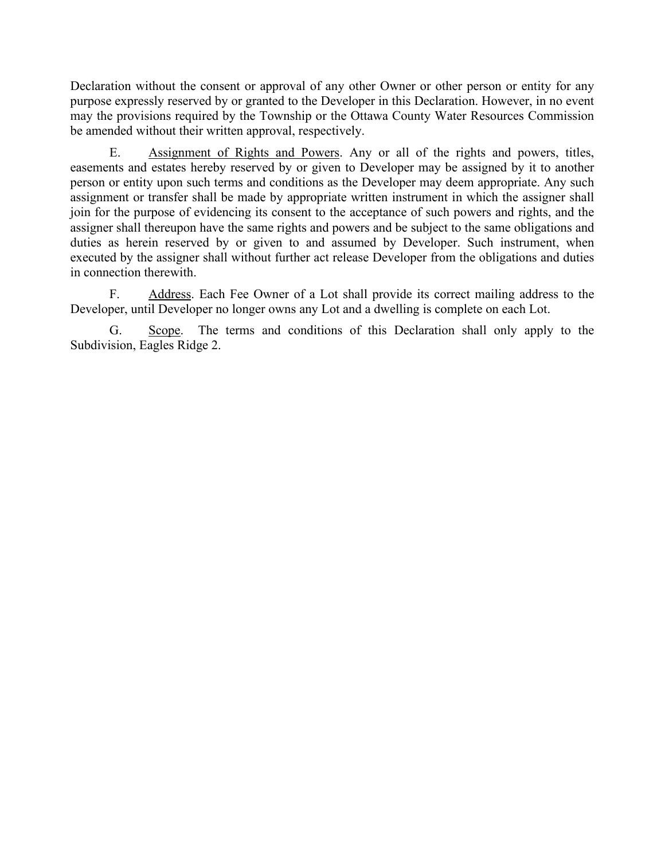Declaration without the consent or approval of any other Owner or other person or entity for any purpose expressly reserved by or granted to the Developer in this Declaration. However, in no event may the provisions required by the Township or the Ottawa County Water Resources Commission be amended without their written approval, respectively.

E. Assignment of Rights and Powers. Any or all of the rights and powers, titles, easements and estates hereby reserved by or given to Developer may be assigned by it to another person or entity upon such terms and conditions as the Developer may deem appropriate. Any such assignment or transfer shall be made by appropriate written instrument in which the assigner shall join for the purpose of evidencing its consent to the acceptance of such powers and rights, and the assigner shall thereupon have the same rights and powers and be subject to the same obligations and duties as herein reserved by or given to and assumed by Developer. Such instrument, when executed by the assigner shall without further act release Developer from the obligations and duties in connection therewith.

F. Address. Each Fee Owner of a Lot shall provide its correct mailing address to the Developer, until Developer no longer owns any Lot and a dwelling is complete on each Lot.

G. Scope. The terms and conditions of this Declaration shall only apply to the Subdivision, Eagles Ridge 2.